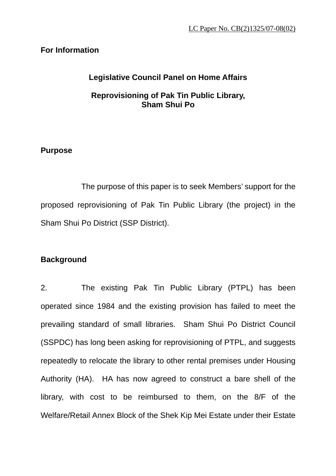# **For Information**

# **Legislative Council Panel on Home Affairs**

# **Reprovisioning of Pak Tin Public Library, Sham Shui Po**

# **Purpose**

 The purpose of this paper is to seek Members' support for the proposed reprovisioning of Pak Tin Public Library (the project) in the Sham Shui Po District (SSP District).

# **Background**

2. The existing Pak Tin Public Library (PTPL) has been operated since 1984 and the existing provision has failed to meet the prevailing standard of small libraries. Sham Shui Po District Council (SSPDC) has long been asking for reprovisioning of PTPL, and suggests repeatedly to relocate the library to other rental premises under Housing Authority (HA). HA has now agreed to construct a bare shell of the library, with cost to be reimbursed to them, on the 8/F of the Welfare/Retail Annex Block of the Shek Kip Mei Estate under their Estate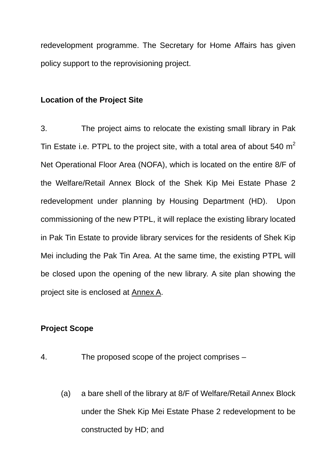redevelopment programme. The Secretary for Home Affairs has given policy support to the reprovisioning project.

## **Location of the Project Site**

3. The project aims to relocate the existing small library in Pak Tin Estate i.e. PTPL to the project site, with a total area of about 540  $m<sup>2</sup>$ Net Operational Floor Area (NOFA), which is located on the entire 8/F of the Welfare/Retail Annex Block of the Shek Kip Mei Estate Phase 2 redevelopment under planning by Housing Department (HD). Upon commissioning of the new PTPL, it will replace the existing library located in Pak Tin Estate to provide library services for the residents of Shek Kip Mei including the Pak Tin Area. At the same time, the existing PTPL will be closed upon the opening of the new library. A site plan showing the project site is enclosed at Annex A.

# **Project Scope**

- 4. The proposed scope of the project comprises
	- (a) a bare shell of the library at 8/F of Welfare/Retail Annex Block under the Shek Kip Mei Estate Phase 2 redevelopment to be constructed by HD; and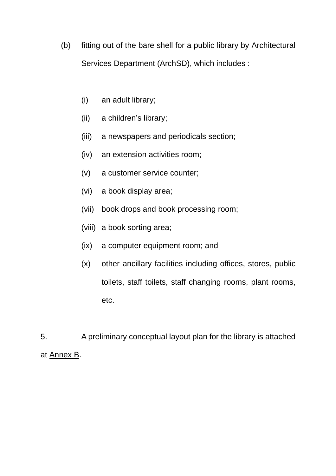- (b) fitting out of the bare shell for a public library by Architectural Services Department (ArchSD), which includes :
	- (i) an adult library;
	- (ii) a children's library;
	- (iii) a newspapers and periodicals section;
	- (iv) an extension activities room;
	- (v) a customer service counter;
	- (vi) a book display area;
	- (vii) book drops and book processing room;
	- (viii) a book sorting area;
	- (ix) a computer equipment room; and
	- (x) other ancillary facilities including offices, stores, public toilets, staff toilets, staff changing rooms, plant rooms, etc.

5. A preliminary conceptual layout plan for the library is attached at Annex B.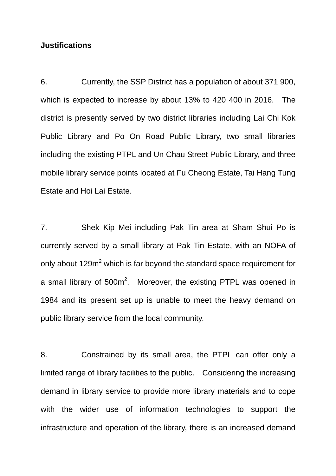### **Justifications**

6. Currently, the SSP District has a population of about 371 900, which is expected to increase by about 13% to 420 400 in 2016. The district is presently served by two district libraries including Lai Chi Kok Public Library and Po On Road Public Library, two small libraries including the existing PTPL and Un Chau Street Public Library, and three mobile library service points located at Fu Cheong Estate, Tai Hang Tung Estate and Hoi Lai Estate.

7. Shek Kip Mei including Pak Tin area at Sham Shui Po is currently served by a small library at Pak Tin Estate, with an NOFA of only about 129 $m^2$  which is far beyond the standard space requirement for a small library of 500 $m^2$ . Moreover, the existing PTPL was opened in 1984 and its present set up is unable to meet the heavy demand on public library service from the local community.

8. Constrained by its small area, the PTPL can offer only a limited range of library facilities to the public. Considering the increasing demand in library service to provide more library materials and to cope with the wider use of information technologies to support the infrastructure and operation of the library, there is an increased demand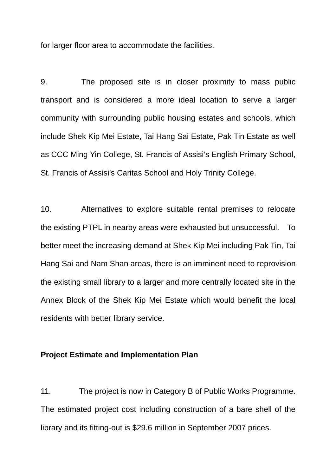for larger floor area to accommodate the facilities.

9. The proposed site is in closer proximity to mass public transport and is considered a more ideal location to serve a larger community with surrounding public housing estates and schools, which include Shek Kip Mei Estate, Tai Hang Sai Estate, Pak Tin Estate as well as CCC Ming Yin College, St. Francis of Assisi's English Primary School, St. Francis of Assisi's Caritas School and Holy Trinity College.

10. Alternatives to explore suitable rental premises to relocate the existing PTPL in nearby areas were exhausted but unsuccessful. To better meet the increasing demand at Shek Kip Mei including Pak Tin, Tai Hang Sai and Nam Shan areas, there is an imminent need to reprovision the existing small library to a larger and more centrally located site in the Annex Block of the Shek Kip Mei Estate which would benefit the local residents with better library service.

### **Project Estimate and Implementation Plan**

11. The project is now in Category B of Public Works Programme. The estimated project cost including construction of a bare shell of the library and its fitting-out is \$29.6 million in September 2007 prices.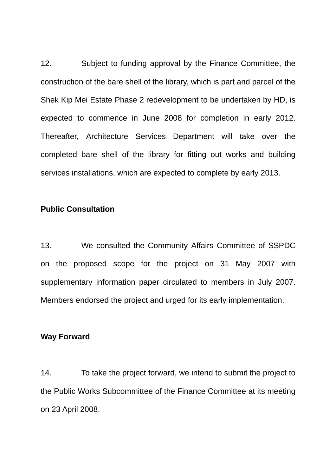12. Subject to funding approval by the Finance Committee, the construction of the bare shell of the library, which is part and parcel of the Shek Kip Mei Estate Phase 2 redevelopment to be undertaken by HD, is expected to commence in June 2008 for completion in early 2012. Thereafter, Architecture Services Department will take over the completed bare shell of the library for fitting out works and building services installations, which are expected to complete by early 2013.

### **Public Consultation**

13. We consulted the Community Affairs Committee of SSPDC on the proposed scope for the project on 31 May 2007 with supplementary information paper circulated to members in July 2007. Members endorsed the project and urged for its early implementation.

#### **Way Forward**

14. To take the project forward, we intend to submit the project to the Public Works Subcommittee of the Finance Committee at its meeting on 23 April 2008.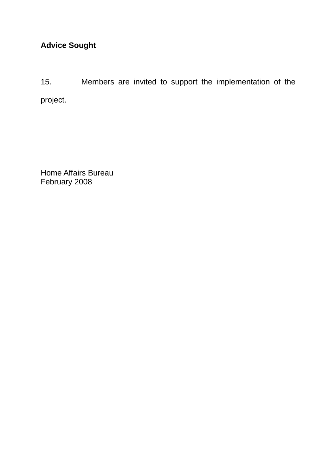15. Members are invited to support the implementation of the project.

Home Affairs Bureau February 2008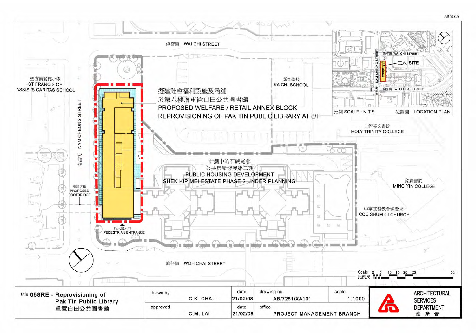